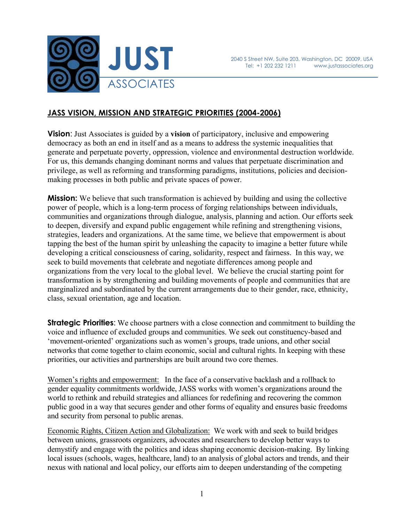

# **JASS VISION, MISSION AND STRATEGIC PRIORITIES (2004-2006)**

**Vision**: Just Associates is guided by a **vision** of participatory, inclusive and empowering democracy as both an end in itself and as a means to address the systemic inequalities that generate and perpetuate poverty, oppression, violence and environmental destruction worldwide. For us, this demands changing dominant norms and values that perpetuate discrimination and privilege, as well as reforming and transforming paradigms, institutions, policies and decisionmaking processes in both public and private spaces of power.

**Mission:** We believe that such transformation is achieved by building and using the collective power of people, which is a long-term process of forging relationships between individuals, communities and organizations through dialogue, analysis, planning and action. Our efforts seek to deepen, diversify and expand public engagement while refining and strengthening visions, strategies, leaders and organizations. At the same time, we believe that empowerment is about tapping the best of the human spirit by unleashing the capacity to imagine a better future while developing a critical consciousness of caring, solidarity, respect and fairness. In this way, we seek to build movements that celebrate and negotiate differences among people and organizations from the very local to the global level. We believe the crucial starting point for transformation is by strengthening and building movements of people and communities that are marginalized and subordinated by the current arrangements due to their gender, race, ethnicity, class, sexual orientation, age and location.

**Strategic Priorities:** We choose partners with a close connection and commitment to building the voice and influence of excluded groups and communities. We seek out constituency-based and 'movement-oriented' organizations such as women's groups, trade unions, and other social networks that come together to claim economic, social and cultural rights. In keeping with these priorities, our activities and partnerships are built around two core themes.

Women's rights and empowerment: In the face of a conservative backlash and a rollback to gender equality commitments worldwide, JASS works with women's organizations around the world to rethink and rebuild strategies and alliances for redefining and recovering the common public good in a way that secures gender and other forms of equality and ensures basic freedoms and security from personal to public arenas.

Economic Rights, Citizen Action and Globalization: We work with and seek to build bridges between unions, grassroots organizers, advocates and researchers to develop better ways to demystify and engage with the politics and ideas shaping economic decision-making. By linking local issues (schools, wages, healthcare, land) to an analysis of global actors and trends, and their nexus with national and local policy, our efforts aim to deepen understanding of the competing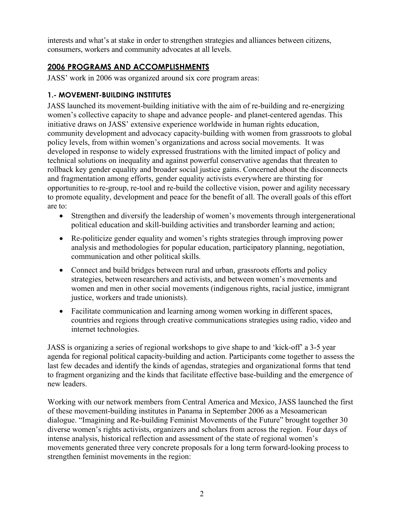interests and what's at stake in order to strengthen strategies and alliances between citizens, consumers, workers and community advocates at all levels.

# **2006 PROGRAMS AND ACCOMPLISHMENTS**

JASS' work in 2006 was organized around six core program areas:

## **1.- MOVEMENT-BUILDING INSTITUTES**

JASS launched its movement-building initiative with the aim of re-building and re-energizing women's collective capacity to shape and advance people- and planet-centered agendas. This initiative draws on JASS' extensive experience worldwide in human rights education, community development and advocacy capacity-building with women from grassroots to global policy levels, from within women's organizations and across social movements. It was developed in response to widely expressed frustrations with the limited impact of policy and technical solutions on inequality and against powerful conservative agendas that threaten to rollback key gender equality and broader social justice gains. Concerned about the disconnects and fragmentation among efforts, gender equality activists everywhere are thirsting for opportunities to re-group, re-tool and re-build the collective vision, power and agility necessary to promote equality, development and peace for the benefit of all. The overall goals of this effort are to:

- Strengthen and diversify the leadership of women's movements through intergenerational political education and skill-building activities and transborder learning and action;
- Re-politicize gender equality and women's rights strategies through improving power analysis and methodologies for popular education, participatory planning, negotiation, communication and other political skills.
- Connect and build bridges between rural and urban, grassroots efforts and policy strategies, between researchers and activists, and between women's movements and women and men in other social movements (indigenous rights, racial justice, immigrant justice, workers and trade unionists).
- Facilitate communication and learning among women working in different spaces, countries and regions through creative communications strategies using radio, video and internet technologies.

JASS is organizing a series of regional workshops to give shape to and 'kick-off' a 3-5 year agenda for regional political capacity-building and action. Participants come together to assess the last few decades and identify the kinds of agendas, strategies and organizational forms that tend to fragment organizing and the kinds that facilitate effective base-building and the emergence of new leaders.

Working with our network members from Central America and Mexico, JASS launched the first of these movement-building institutes in Panama in September 2006 as a Mesoamerican dialogue. "Imagining and Re-building Feminist Movements of the Future" brought together 30 diverse women's rights activists, organizers and scholars from across the region. Four days of intense analysis, historical reflection and assessment of the state of regional women's movements generated three very concrete proposals for a long term forward-looking process to strengthen feminist movements in the region: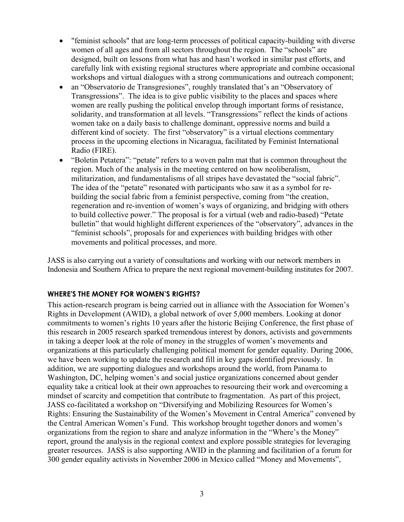- "feminist schools" that are long-term processes of political capacity-building with diverse women of all ages and from all sectors throughout the region. The "schools" are designed, built on lessons from what has and hasn't worked in similar past efforts, and carefully link with existing regional structures where appropriate and combine occasional workshops and virtual dialogues with a strong communications and outreach component;
- an "Observatorio de Transgresiones", roughly translated that's an "Observatory of Transgressions". The idea is to give public visibility to the places and spaces where women are really pushing the political envelop through important forms of resistance, solidarity, and transformation at all levels. "Transgressions" reflect the kinds of actions women take on a daily basis to challenge dominant, oppressive norms and build a different kind of society. The first "observatory" is a virtual elections commentary process in the upcoming elections in Nicaragua, facilitated by Feminist International Radio (FIRE).
- "Boletin Petatera": "petate" refers to a woven palm mat that is common throughout the region. Much of the analysis in the meeting centered on how neoliberalism, militarization, and fundamentalisms of all stripes have devastated the "social fabric". The idea of the "petate" resonated with participants who saw it as a symbol for rebuilding the social fabric from a feminist perspective, coming from "the creation, regeneration and re-invention of women's ways of organizing, and bridging with others to build collective power." The proposal is for a virtual (web and radio-based) "Petate bulletin" that would highlight different experiences of the "observatory", advances in the "feminist schools", proposals for and experiences with building bridges with other movements and political processes, and more.

JASS is also carrying out a variety of consultations and working with our network members in Indonesia and Southern Africa to prepare the next regional movement-building institutes for 2007.

#### **WHERE'S THE MONEY FOR WOMEN'S RIGHTS?**

This action-research program is being carried out in alliance with the Association for Women's Rights in Development (AWID), a global network of over 5,000 members. Looking at donor commitments to women's rights 10 years after the historic Beijing Conference, the first phase of this research in 2005 research sparked tremendous interest by donors, activists and governments in taking a deeper look at the role of money in the struggles of women's movements and organizations at this particularly challenging political moment for gender equality. During 2006, we have been working to update the research and fill in key gaps identified previously. In addition, we are supporting dialogues and workshops around the world, from Panama to Washington, DC, helping women's and social justice organizations concerned about gender equality take a critical look at their own approaches to resourcing their work and overcoming a mindset of scarcity and competition that contribute to fragmentation. As part of this project, JASS co-facilitated a workshop on "Diversifying and Mobilizing Resources for Women's Rights: Ensuring the Sustainability of the Women's Movement in Central America" convened by the Central American Women's Fund. This workshop brought together donors and women's organizations from the region to share and analyze information in the "Where's the Money" report, ground the analysis in the regional context and explore possible strategies for leveraging greater resources. JASS is also supporting AWID in the planning and facilitation of a forum for 300 gender equality activists in November 2006 in Mexico called "Money and Movements",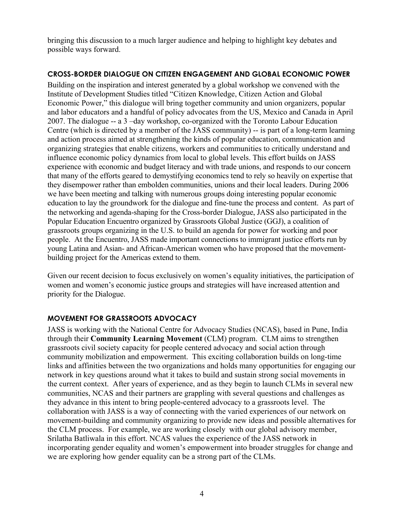bringing this discussion to a much larger audience and helping to highlight key debates and possible ways forward.

#### **CROSS-BORDER DIALOGUE ON CITIZEN ENGAGEMENT AND GLOBAL ECONOMIC POWER**

Building on the inspiration and interest generated by a global workshop we convened with the Institute of Development Studies titled "Citizen Knowledge, Citizen Action and Global Economic Power," this dialogue will bring together community and union organizers, popular and labor educators and a handful of policy advocates from the US, Mexico and Canada in April 2007. The dialogue -- a 3 –day workshop, co-organized with the Toronto Labour Education Centre (which is directed by a member of the JASS community) -- is part of a long-term learning and action process aimed at strengthening the kinds of popular education, communication and organizing strategies that enable citizens, workers and communities to critically understand and influence economic policy dynamics from local to global levels. This effort builds on JASS experience with economic and budget literacy and with trade unions, and responds to our concern that many of the efforts geared to demystifying economics tend to rely so heavily on expertise that they disempower rather than embolden communities, unions and their local leaders. During 2006 we have been meeting and talking with numerous groups doing interesting popular economic education to lay the groundwork for the dialogue and fine-tune the process and content. As part of the networking and agenda-shaping for the Cross-border Dialogue, JASS also participated in the Popular Education Encuentro organized by Grassroots Global Justice (GGJ), a coalition of grassroots groups organizing in the U.S. to build an agenda for power for working and poor people. At the Encuentro, JASS made important connections to immigrant justice efforts run by young Latina and Asian- and African-American women who have proposed that the movementbuilding project for the Americas extend to them.

Given our recent decision to focus exclusively on women's equality initiatives, the participation of women and women's economic justice groups and strategies will have increased attention and priority for the Dialogue.

### **MOVEMENT FOR GRASSROOTS ADVOCACY**

JASS is working with the National Centre for Advocacy Studies (NCAS), based in Pune, India through their **Community Learning Movement** (CLM) program. CLM aims to strengthen grassroots civil society capacity for people centered advocacy and social action through community mobilization and empowerment. This exciting collaboration builds on long-time links and affinities between the two organizations and holds many opportunities for engaging our network in key questions around what it takes to build and sustain strong social movements in the current context. After years of experience, and as they begin to launch CLMs in several new communities, NCAS and their partners are grappling with several questions and challenges as they advance in this intent to bring people-centered advocacy to a grassroots level. The collaboration with JASS is a way of connecting with the varied experiences of our network on movement-building and community organizing to provide new ideas and possible alternatives for the CLM process. For example, we are working closely with our global advisory member, Srilatha Batliwala in this effort. NCAS values the experience of the JASS network in incorporating gender equality and women's empowerment into broader struggles for change and we are exploring how gender equality can be a strong part of the CLMs.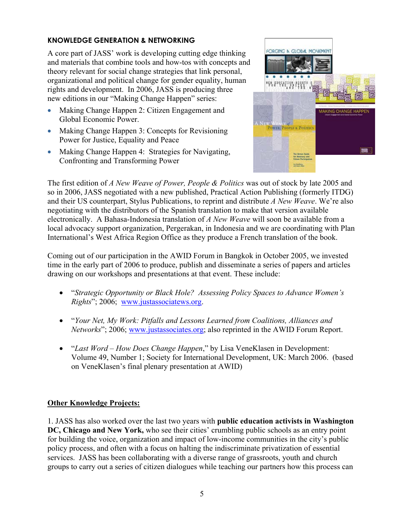### **KNOWLEDGE GENERATION & NETWORKING**

A core part of JASS' work is developing cutting edge thinking and materials that combine tools and how-tos with concepts and theory relevant for social change strategies that link personal, organizational and political change for gender equality, human rights and development. In 2006, JASS is producing three new editions in our "Making Change Happen" series:

- Making Change Happen 2: Citizen Engagement and Global Economic Power.
- Making Change Happen 3: Concepts for Revisioning Power for Justice, Equality and Peace
- Making Change Happen 4: Strategies for Navigating, Confronting and Transforming Power



The first edition of *A New Weave of Power, People & Politics* was out of stock by late 2005 and so in 2006, JASS negotiated with a new published, Practical Action Publishing (formerly ITDG) and their US counterpart, Stylus Publications, to reprint and distribute *A New Weave*. We're also negotiating with the distributors of the Spanish translation to make that version available electronically. A Bahasa-Indonesia translation of *A New Weave* will soon be available from a local advocacy support organization, Pergerakan, in Indonesia and we are coordinating with Plan International's West Africa Region Office as they produce a French translation of the book.

Coming out of our participation in the AWID Forum in Bangkok in October 2005, we invested time in the early part of 2006 to produce, publish and disseminate a series of papers and articles drawing on our workshops and presentations at that event. These include:

- "*Strategic Opportunity or Black Hole? Assessing Policy Spaces to Advance Women's Rights*"; 2006; www.justassociatews.org.
- "*Your Net, My Work: Pitfalls and Lessons Learned from Coalitions, Alliances and Networks*"; 2006; www.justassociates.org; also reprinted in the AWID Forum Report.
- "*Last Word How Does Change Happen*," by Lisa VeneKlasen in Development: Volume 49, Number 1; Society for International Development, UK: March 2006. (based on VeneKlasen's final plenary presentation at AWID)

### **Other Knowledge Projects:**

1. JASS has also worked over the last two years with **public education activists in Washington DC, Chicago and New York,** who see their cities' crumbling public schools as an entry point for building the voice, organization and impact of low-income communities in the city's public policy process, and often with a focus on halting the indiscriminate privatization of essential services. JASS has been collaborating with a diverse range of grassroots, youth and church groups to carry out a series of citizen dialogues while teaching our partners how this process can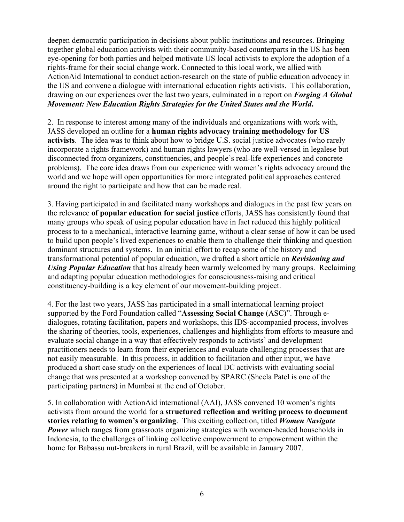deepen democratic participation in decisions about public institutions and resources. Bringing together global education activists with their community-based counterparts in the US has been eye-opening for both parties and helped motivate US local activists to explore the adoption of a rights-frame for their social change work. Connected to this local work, we allied with ActionAid International to conduct action-research on the state of public education advocacy in the US and convene a dialogue with international education rights activists. This collaboration, drawing on our experiences over the last two years, culminated in a report on *Forging A Global Movement: New Education Rights Strategies for the United States and the World***.** 

2. In response to interest among many of the individuals and organizations with work with, JASS developed an outline for a **human rights advocacy training methodology for US activists**. The idea was to think about how to bridge U.S. social justice advocates (who rarely incorporate a rights framework) and human rights lawyers (who are well-versed in legalese but disconnected from organizers, constituencies, and people's real-life experiences and concrete problems). The core idea draws from our experience with women's rights advocacy around the world and we hope will open opportunities for more integrated political approaches centered around the right to participate and how that can be made real.

3. Having participated in and facilitated many workshops and dialogues in the past few years on the relevance **of popular education for social justice** efforts, JASS has consistently found that many groups who speak of using popular education have in fact reduced this highly political process to to a mechanical, interactive learning game, without a clear sense of how it can be used to build upon people's lived experiences to enable them to challenge their thinking and question dominant structures and systems. In an initial effort to recap some of the history and transformational potential of popular education, we drafted a short article on *Revisioning and Using Popular Education* that has already been warmly welcomed by many groups. Reclaiming and adapting popular education methodologies for consciousness-raising and critical constituency-building is a key element of our movement-building project.

4. For the last two years, JASS has participated in a small international learning project supported by the Ford Foundation called "**Assessing Social Change** (ASC)". Through edialogues, rotating facilitation, papers and workshops, this IDS-accompanied process, involves the sharing of theories, tools, experiences, challenges and highlights from efforts to measure and evaluate social change in a way that effectively responds to activists' and development practitioners needs to learn from their experiences and evaluate challenging processes that are not easily measurable. In this process, in addition to facilitation and other input, we have produced a short case study on the experiences of local DC activists with evaluating social change that was presented at a workshop convened by SPARC (Sheela Patel is one of the participating partners) in Mumbai at the end of October.

5. In collaboration with ActionAid international (AAI), JASS convened 10 women's rights activists from around the world for a **structured reflection and writing process to document stories relating to women's organizing**. This exciting collection, titled *Women Navigate Power* which ranges from grassroots organizing strategies with women-headed households in Indonesia, to the challenges of linking collective empowerment to empowerment within the home for Babassu nut-breakers in rural Brazil, will be available in January 2007.